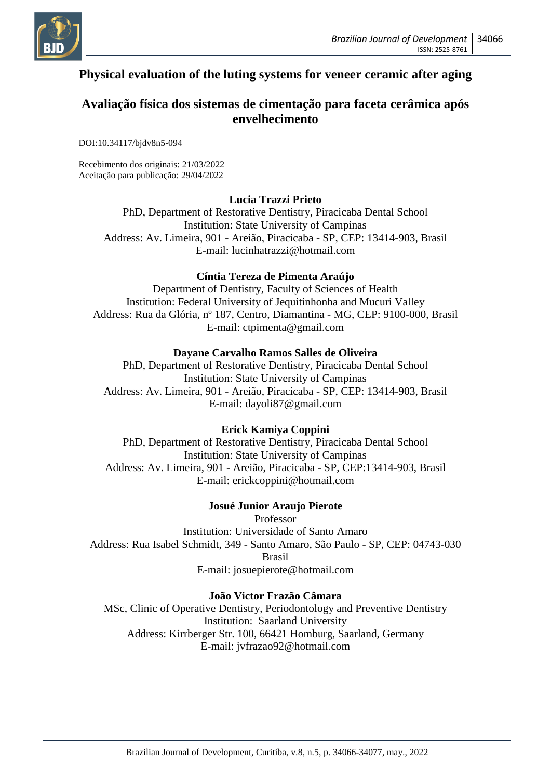

# **Physical evaluation of the luting systems for veneer ceramic after aging**

# **Avaliação física dos sistemas de cimentação para faceta cerâmica após envelhecimento**

DOI:10.34117/bjdv8n5-094

Recebimento dos originais: 21/03/2022 Aceitação para publicação: 29/04/2022

### **Lucia Trazzi Prieto**

PhD, Department of Restorative Dentistry, Piracicaba Dental School Institution: State University of Campinas Address: Av. Limeira, 901 - Areião, Piracicaba - SP, CEP: 13414-903, Brasil E-mail: lucinhatrazzi@hotmail.com

### **Cíntia Tereza de Pimenta Araújo**

Department of Dentistry, Faculty of Sciences of Health Institution: Federal University of Jequitinhonha and Mucuri Valley Address: Rua da Glória, nº 187, Centro, Diamantina - MG, CEP: 9100-000, Brasil E-mail: ctpimenta@gmail.com

### **Dayane Carvalho Ramos Salles de Oliveira**

PhD, Department of Restorative Dentistry, Piracicaba Dental School Institution: State University of Campinas Address: Av. Limeira, 901 - Areião, Piracicaba - SP, CEP: 13414-903, Brasil E-mail: dayoli87@gmail.com

### **Erick Kamiya Coppini**

PhD, Department of Restorative Dentistry, Piracicaba Dental School Institution: State University of Campinas Address: Av. Limeira, 901 - Areião, Piracicaba - SP, CEP:13414-903, Brasil E-mail: erickcoppini@hotmail.com

### **Josué Junior Araujo Pierote**

Professor Institution: Universidade of Santo Amaro Address: Rua Isabel Schmidt, 349 - Santo Amaro, São Paulo - SP, CEP: 04743-030 Brasil E-mail: josuepierote@hotmail.com

### **João Victor Frazão Câmara**

MSc, Clinic of Operative Dentistry, Periodontology and Preventive Dentistry Institution: Saarland University Address: Kirrberger Str. 100, 66421 Homburg, Saarland, Germany E-mail: jvfrazao92@hotmail.com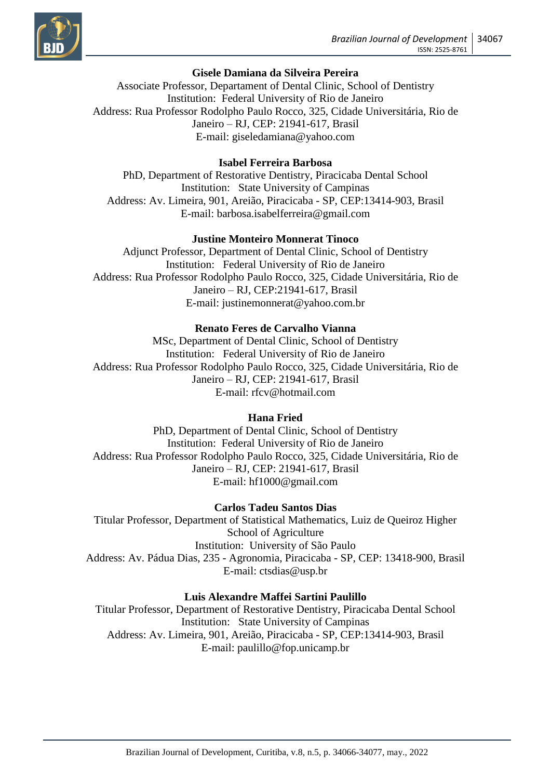

# **Gisele Damiana da Silveira Pereira**

Associate Professor, Departament of Dental Clinic, School of Dentistry Institution: Federal University of Rio de Janeiro Address: Rua Professor Rodolpho Paulo Rocco, 325, Cidade Universitária, Rio de Janeiro – RJ, CEP: 21941-617, Brasil E-mail: giseledamiana@yahoo.com

### **Isabel Ferreira Barbosa**

PhD, Department of Restorative Dentistry, Piracicaba Dental School Institution: State University of Campinas Address: Av. Limeira, 901, Areião, Piracicaba - SP, CEP:13414-903, Brasil E-mail: barbosa.isabelferreira@gmail.com

### **Justine Monteiro Monnerat Tinoco**

Adjunct Professor, Department of Dental Clinic, School of Dentistry Institution: Federal University of Rio de Janeiro Address: Rua Professor Rodolpho Paulo Rocco, 325, Cidade Universitária, Rio de Janeiro – RJ, CEP:21941-617, Brasil E-mail: justinemonnerat@yahoo.com.br

#### **Renato Feres de Carvalho Vianna**

MSc, Department of Dental Clinic, School of Dentistry Institution: Federal University of Rio de Janeiro Address: Rua Professor Rodolpho Paulo Rocco, 325, Cidade Universitária, Rio de Janeiro – RJ, CEP: 21941-617, Brasil E-mail: rfcv@hotmail.com

#### **Hana Fried**

PhD, Department of Dental Clinic, School of Dentistry Institution: Federal University of Rio de Janeiro Address: Rua Professor Rodolpho Paulo Rocco, 325, Cidade Universitária, Rio de Janeiro – RJ, CEP: 21941-617, Brasil E-mail: hf1000@gmail.com

#### **Carlos Tadeu Santos Dias**

Titular Professor, Department of Statistical Mathematics, Luiz de Queiroz Higher School of Agriculture Institution: University of São Paulo Address: Av. Pádua Dias, 235 - Agronomia, Piracicaba - SP, CEP: 13418-900, Brasil E-mail: ctsdias@usp.br

#### **Luis Alexandre Maffei Sartini Paulillo**

Titular Professor, Department of Restorative Dentistry, Piracicaba Dental School Institution: State University of Campinas Address: Av. Limeira, 901, Areião, Piracicaba - SP, CEP:13414-903, Brasil E-mail: paulillo@fop.unicamp.br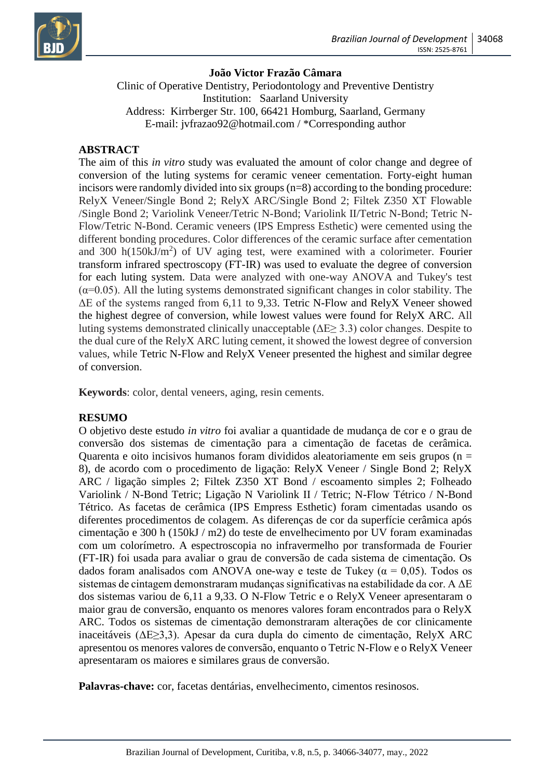

### **João Victor Frazão Câmara**

Clinic of Operative Dentistry, Periodontology and Preventive Dentistry Institution: Saarland University Address: Kirrberger Str. 100, 66421 Homburg, Saarland, Germany E-mail: [jvfrazao92@hotmail.com](mailto:jvfrazao92@hotmail.com) / \*Corresponding author

### **ABSTRACT**

The aim of this *in vitro* study was evaluated the amount of color change and degree of conversion of the luting systems for ceramic veneer cementation. Forty-eight human incisors were randomly divided into six groups (n=8) according to the bonding procedure: RelyX Veneer/Single Bond 2; RelyX ARC/Single Bond 2; Filtek Z350 XT Flowable /Single Bond 2; Variolink Veneer/Tetric N-Bond; Variolink II/Tetric N-Bond; Tetric N-Flow/Tetric N-Bond. Ceramic veneers (IPS Empress Esthetic) were cemented using the different bonding procedures. Color differences of the ceramic surface after cementation and 300 h( $150kJ/m<sup>2</sup>$ ) of UV aging test, were examined with a colorimeter. Fourier transform infrared spectroscopy (FT-IR) was used to evaluate the degree of conversion for each luting system. Data were analyzed with one-way ANOVA and Tukey's test  $(\alpha=0.05)$ . All the luting systems demonstrated significant changes in color stability. The ΔE of the systems ranged from 6,11 to 9,33. Tetric N-Flow and RelyX Veneer showed the highest degree of conversion, while lowest values were found for RelyX ARC. All luting systems demonstrated clinically unacceptable ( $\Delta E \geq 3.3$ ) color changes. Despite to the dual cure of the RelyX ARC luting cement, it showed the lowest degree of conversion values, while Tetric N-Flow and RelyX Veneer presented the highest and similar degree of conversion.

**Keywords**: color, dental veneers, aging, resin cements.

### **RESUMO**

O objetivo deste estudo *in vitro* foi avaliar a quantidade de mudança de cor e o grau de conversão dos sistemas de cimentação para a cimentação de facetas de cerâmica. Quarenta e oito incisivos humanos foram divididos aleatoriamente em seis grupos (n  $=$ 8), de acordo com o procedimento de ligação: RelyX Veneer / Single Bond 2; RelyX ARC / ligação simples 2; Filtek Z350 XT Bond / escoamento simples 2; Folheado Variolink / N-Bond Tetric; Ligação N Variolink II / Tetric; N-Flow Tétrico / N-Bond Tétrico. As facetas de cerâmica (IPS Empress Esthetic) foram cimentadas usando os diferentes procedimentos de colagem. As diferenças de cor da superfície cerâmica após cimentação e 300 h (150kJ / m2) do teste de envelhecimento por UV foram examinadas com um colorímetro. A espectroscopia no infravermelho por transformada de Fourier (FT-IR) foi usada para avaliar o grau de conversão de cada sistema de cimentação. Os dados foram analisados com ANOVA one-way e teste de Tukey ( $\alpha = 0.05$ ). Todos os sistemas de cintagem demonstraram mudanças significativas na estabilidade da cor. A ΔE dos sistemas variou de 6,11 a 9,33. O N-Flow Tetric e o RelyX Veneer apresentaram o maior grau de conversão, enquanto os menores valores foram encontrados para o RelyX ARC. Todos os sistemas de cimentação demonstraram alterações de cor clinicamente inaceitáveis (ΔE≥3,3). Apesar da cura dupla do cimento de cimentação, RelyX ARC apresentou os menores valores de conversão, enquanto o Tetric N-Flow e o RelyX Veneer apresentaram os maiores e similares graus de conversão.

**Palavras-chave:** cor, facetas dentárias, envelhecimento, cimentos resinosos.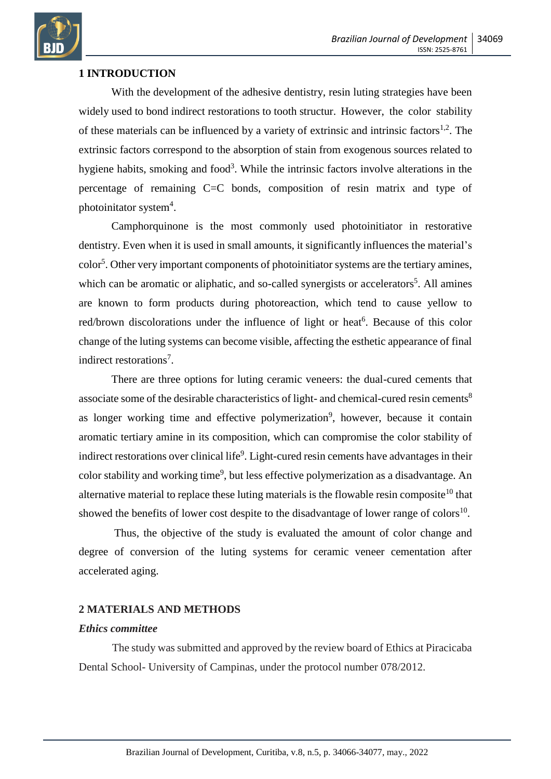

### **1 INTRODUCTION**

With the development of the adhesive dentistry, resin luting strategies have been widely used to bond indirect restorations to tooth structur. However, the color stability of these materials can be influenced by a variety of extrinsic and intrinsic factors<sup>1,2</sup>. The extrinsic factors correspond to the absorption of stain from exogenous sources related to hygiene habits, smoking and food<sup>3</sup>. While the intrinsic factors involve alterations in the percentage of remaining C=C bonds, composition of resin matrix and type of photoinitator system<sup>4</sup>.

Camphorquinone is the most commonly used photoinitiator in restorative dentistry. Even when it is used in small amounts, it significantly influences the material's color<sup>5</sup>. Other very important components of photoinitiator systems are the tertiary amines, which can be aromatic or aliphatic, and so-called synergists or accelerators<sup>5</sup>. All amines are known to form products during photoreaction, which tend to cause yellow to red/brown discolorations under the influence of light or heat<sup>6</sup>. Because of this color change of the luting systems can become visible, affecting the esthetic appearance of final indirect restorations<sup>7</sup>.

There are three options for luting ceramic veneers: the dual-cured cements that associate some of the desirable characteristics of light- and chemical-cured resin cements<sup>8</sup> as longer working time and effective polymerization<sup>9</sup>, however, because it contain aromatic tertiary amine in its composition, which can compromise the color stability of indirect restorations over clinical life<sup>9</sup>. Light-cured resin cements have advantages in their color stability and working time<sup>9</sup>, but less effective polymerization as a disadvantage. An alternative material to replace these luting materials is the flowable resin composite<sup>10</sup> that showed the benefits of lower cost despite to the disadvantage of lower range of colors $^{10}$ .

Thus, the objective of the study is evaluated the amount of color change and degree of conversion of the luting systems for ceramic veneer cementation after accelerated aging.

### **2 MATERIALS AND METHODS**

### *Ethics committee*

The study was submitted and approved by the review board of Ethics at Piracicaba Dental School- University of Campinas, under the protocol number 078/2012.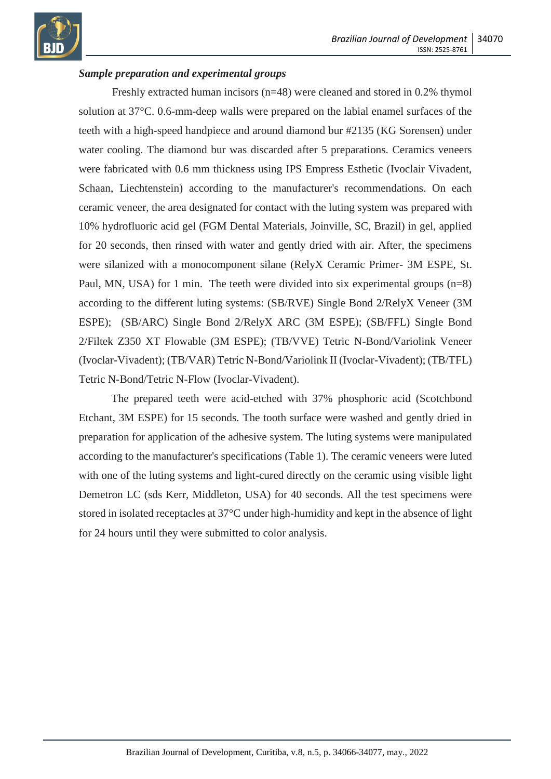

### *Sample preparation and experimental groups*

Freshly extracted human incisors (n=48) were cleaned and stored in 0.2% thymol solution at 37°C. 0.6-mm-deep walls were prepared on the labial enamel surfaces of the teeth with a high-speed handpiece and around diamond bur #2135 (KG Sorensen) under water cooling. The diamond bur was discarded after 5 preparations. Ceramics veneers were fabricated with 0.6 mm thickness using IPS Empress Esthetic (Ivoclair Vivadent, Schaan, Liechtenstein) according to the manufacturer's recommendations. On each ceramic veneer, the area designated for contact with the luting system was prepared with 10% hydrofluoric acid gel (FGM Dental Materials, Joinville, SC, Brazil) in gel, applied for 20 seconds, then rinsed with water and gently dried with air. After, the specimens were silanized with a monocomponent silane (RelyX Ceramic Primer- 3M ESPE, St. Paul, MN, USA) for 1 min. The teeth were divided into six experimental groups (n=8) according to the different luting systems: (SB/RVE) Single Bond 2/RelyX Veneer (3M ESPE); (SB/ARC) Single Bond 2/RelyX ARC (3M ESPE); (SB/FFL) Single Bond 2/Filtek Z350 XT Flowable (3M ESPE); (TB/VVE) Tetric N-Bond/Variolink Veneer (Ivoclar-Vivadent); (TB/VAR) Tetric N-Bond/Variolink II (Ivoclar-Vivadent); (TB/TFL) Tetric N-Bond/Tetric N-Flow (Ivoclar-Vivadent).

The prepared teeth were acid-etched with 37% phosphoric acid (Scotchbond Etchant, 3M ESPE) for 15 seconds. The tooth surface were washed and gently dried in preparation for application of the adhesive system. The luting systems were manipulated according to the manufacturer's specifications (Table 1). The ceramic veneers were luted with one of the luting systems and light-cured directly on the ceramic using visible light Demetron LC (sds Kerr, Middleton, USA) for 40 seconds. All the test specimens were stored in isolated receptacles at 37°C under high-humidity and kept in the absence of light for 24 hours until they were submitted to color analysis.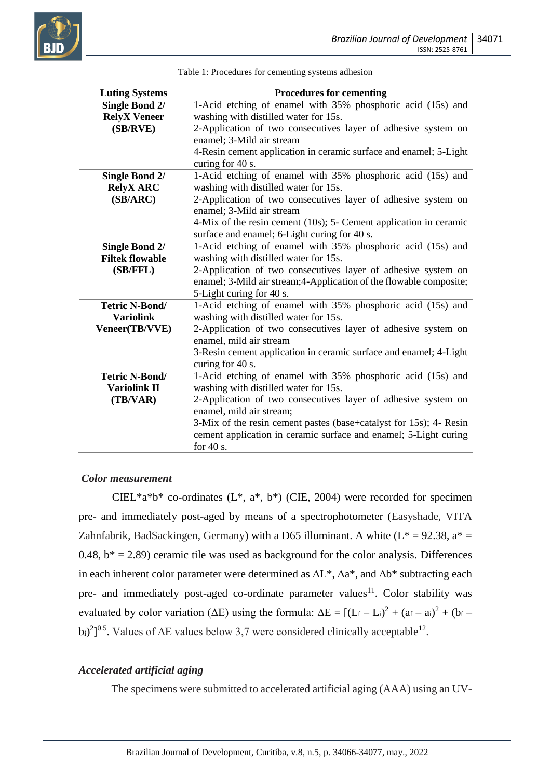![](_page_5_Picture_1.jpeg)

| <b>Luting Systems</b>  | <b>Procedures for cementing</b>                                     |  |  |  |
|------------------------|---------------------------------------------------------------------|--|--|--|
| <b>Single Bond 2/</b>  | 1-Acid etching of enamel with 35% phosphoric acid (15s) and         |  |  |  |
| <b>RelyX</b> Veneer    | washing with distilled water for 15s.                               |  |  |  |
| (SB/RVE)               | 2-Application of two consecutives layer of adhesive system on       |  |  |  |
|                        | enamel; 3-Mild air stream                                           |  |  |  |
|                        | 4-Resin cement application in ceramic surface and enamel; 5-Light   |  |  |  |
|                        | curing for 40 s.                                                    |  |  |  |
| <b>Single Bond 2/</b>  | 1-Acid etching of enamel with 35% phosphoric acid (15s) and         |  |  |  |
| <b>RelyX ARC</b>       | washing with distilled water for 15s.                               |  |  |  |
| (SB/ARC)               | 2-Application of two consecutives layer of adhesive system on       |  |  |  |
|                        | enamel; 3-Mild air stream                                           |  |  |  |
|                        | 4-Mix of the resin cement (10s); 5- Cement application in ceramic   |  |  |  |
|                        | surface and enamel; 6-Light curing for 40 s.                        |  |  |  |
| <b>Single Bond 2/</b>  | 1-Acid etching of enamel with 35% phosphoric acid (15s) and         |  |  |  |
| <b>Filtek flowable</b> | washing with distilled water for 15s.                               |  |  |  |
| (SB/FFL)               | 2-Application of two consecutives layer of adhesive system on       |  |  |  |
|                        | enamel; 3-Mild air stream; 4-Application of the flowable composite; |  |  |  |
|                        | 5-Light curing for 40 s.                                            |  |  |  |
| Tetric N-Bond/         | 1-Acid etching of enamel with 35% phosphoric acid (15s) and         |  |  |  |
| <b>Variolink</b>       | washing with distilled water for 15s.                               |  |  |  |
| Veneer(TB/VVE)         | 2-Application of two consecutives layer of adhesive system on       |  |  |  |
|                        | enamel, mild air stream                                             |  |  |  |
|                        | 3-Resin cement application in ceramic surface and enamel; 4-Light   |  |  |  |
|                        | curing for 40 s.                                                    |  |  |  |
| Tetric N-Bond/         | 1-Acid etching of enamel with 35% phosphoric acid (15s) and         |  |  |  |
| <b>Variolink II</b>    | washing with distilled water for 15s.                               |  |  |  |
| (TB/VAR)               | 2-Application of two consecutives layer of adhesive system on       |  |  |  |
|                        | enamel, mild air stream;                                            |  |  |  |
|                        | 3-Mix of the resin cement pastes (base+catalyst for 15s); 4- Resin  |  |  |  |
|                        | cement application in ceramic surface and enamel; 5-Light curing    |  |  |  |
|                        | for $40$ s.                                                         |  |  |  |

Table 1: Procedures for cementing systems adhesion

#### *Color measurement*

CIEL\*a\*b\* co-ordinates  $(L^*, a^*, b^*)$  (CIE, 2004) were recorded for specimen pre- and immediately post-aged by means of a spectrophotometer (Easyshade, VITA Zahnfabrik, BadSackingen, Germany) with a D65 illuminant. A white ( $L^* = 92.38$ ,  $a^* =$ 0.48,  $b^* = 2.89$ ) ceramic tile was used as background for the color analysis. Differences in each inherent color parameter were determined as  $\Delta L^*$ ,  $\Delta a^*$ , and  $\Delta b^*$  subtracting each pre- and immediately post-aged co-ordinate parameter values<sup>11</sup>. Color stability was evaluated by color variation ( $\Delta E$ ) using the formula:  $\Delta E = [(L_f - L_i)^2 + (a_f - a_i)^2 + (b_f (b_i)^2$ <sup>0.5</sup>. Values of  $\Delta E$  values below 3,7 were considered clinically acceptable<sup>12</sup>.

### *Accelerated artificial aging*

The specimens were submitted to accelerated artificial aging (AAA) using an UV-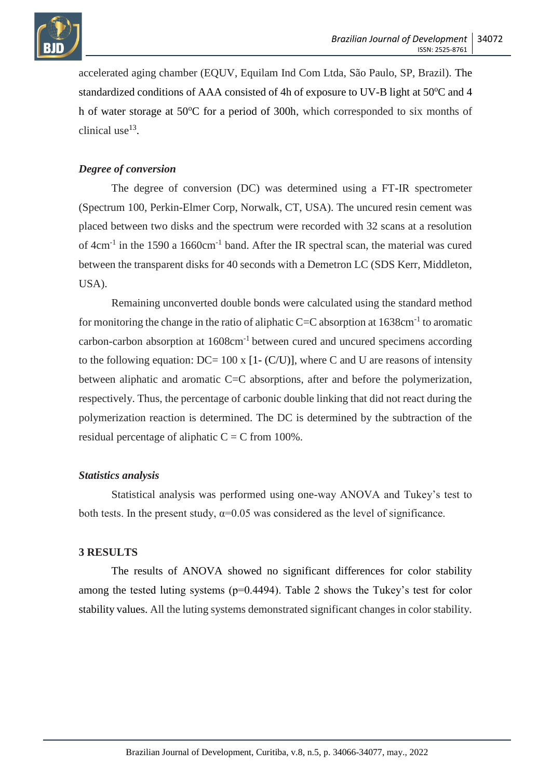![](_page_6_Picture_0.jpeg)

accelerated aging chamber (EQUV, Equilam Ind Com Ltda, São Paulo, SP, Brazil). The standardized conditions of AAA consisted of 4h of exposure to UV-B light at  $50^{\circ}$ C and 4 h of water storage at 50°C for a period of 300h, which corresponded to six months of clinical use $^{13}$ .

# *Degree of conversion*

The degree of conversion (DC) was determined using a FT-IR spectrometer (Spectrum 100, Perkin-Elmer Corp, Norwalk, CT, USA). The uncured resin cement was placed between two disks and the spectrum were recorded with 32 scans at a resolution of 4cm<sup>-1</sup> in the 1590 a 1660cm<sup>-1</sup> band. After the IR spectral scan, the material was cured between the transparent disks for 40 seconds with a Demetron LC (SDS Kerr, Middleton, USA).

Remaining unconverted double bonds were calculated using the standard method for monitoring the change in the ratio of aliphatic C=C absorption at  $1638 \text{cm}^{-1}$  to aromatic carbon-carbon absorption at 1608cm-1 between cured and uncured specimens according to the following equation:  $DC = 100 \times [1 - (C/U)]$ , where C and U are reasons of intensity between aliphatic and aromatic C=C absorptions, after and before the polymerization, respectively. Thus, the percentage of carbonic double linking that did not react during the polymerization reaction is determined. The DC is determined by the subtraction of the residual percentage of aliphatic  $C = C$  from 100%.

# *Statistics analysis*

Statistical analysis was performed using one-way ANOVA and Tukey's test to both tests. In the present study,  $\alpha$ =0.05 was considered as the level of significance.

# **3 RESULTS**

The results of ANOVA showed no significant differences for color stability among the tested luting systems  $(p=0.4494)$ . Table 2 shows the Tukey's test for color stability values. All the luting systems demonstrated significant changes in color stability.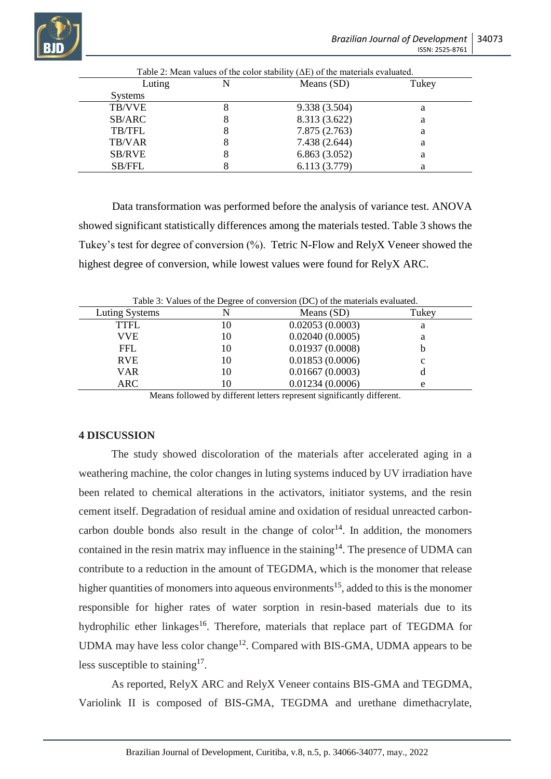![](_page_7_Picture_0.jpeg)

|                |   | Table 2: Mean values of the color stability $(\Delta E)$ of the materials evaluated. |       |
|----------------|---|--------------------------------------------------------------------------------------|-------|
| Luting         |   | Means (SD)                                                                           | Tukey |
| <b>Systems</b> |   |                                                                                      |       |
| <b>TB/VVE</b>  | 8 | 9.338 (3.504)                                                                        | a     |
| SB/ARC         | Ω | 8.313 (3.622)                                                                        | a     |
| <b>TB/TFL</b>  | 8 | 7.875(2.763)                                                                         | а     |
| TB/VAR         | 8 | 7.438 (2.644)                                                                        | a     |
| SB/RVE         |   | 6.863(3.052)                                                                         | a     |
| <b>SB/FFL</b>  |   | 6.113 (3.779)                                                                        |       |

Data transformation was performed before the analysis of variance test. ANOVA showed significant statistically differences among the materials tested. Table 3 shows the Tukey's test for degree of conversion (%). Tetric N-Flow and RelyX Veneer showed the highest degree of conversion, while lowest values were found for RelyX ARC.

| Table 3: Values of the Degree of conversion (DC) of the materials evaluated. |    |                 |       |  |  |
|------------------------------------------------------------------------------|----|-----------------|-------|--|--|
| Luting Systems                                                               |    | Means $(SD)$    | Tukey |  |  |
| TTFL                                                                         | 10 | 0.02053(0.0003) | а     |  |  |
| VVE.                                                                         | 10 | 0.02040(0.0005) |       |  |  |
| <b>FFL</b>                                                                   | 10 | 0.01937(0.0008) |       |  |  |
| <b>RVE</b>                                                                   | 10 | 0.01853(0.0006) | c     |  |  |
| <b>VAR</b>                                                                   | 10 | 0.01667(0.0003) |       |  |  |
| ARC                                                                          | .0 | 0.01234(0.0006) | e     |  |  |
|                                                                              |    |                 |       |  |  |

Table 3: Values of the Degree of conversion (DC) of the materials evaluated.

Means followed by different letters represent significantly different.

# **4 DISCUSSION**

The study showed discoloration of the materials after accelerated aging in a weathering machine, the color changes in luting systems induced by UV irradiation have been related to chemical alterations in the activators, initiator systems, and the resin cement itself. Degradation of residual amine and oxidation of residual unreacted carboncarbon double bonds also result in the change of  $color<sup>14</sup>$ . In addition, the monomers contained in the resin matrix may influence in the staining<sup>14</sup>. The presence of UDMA can contribute to a reduction in the amount of TEGDMA, which is the monomer that release higher quantities of monomers into aqueous environments<sup>15</sup>, added to this is the monomer responsible for higher rates of water sorption in resin-based materials due to its hydrophilic ether linkages<sup>16</sup>. Therefore, materials that replace part of TEGDMA for UDMA may have less color change<sup>12</sup>. Compared with BIS-GMA, UDMA appears to be less susceptible to staining<sup>17</sup>.

As reported, RelyX ARC and RelyX Veneer contains BIS-GMA and TEGDMA, Variolink II is composed of BIS-GMA, TEGDMA and urethane dimethacrylate,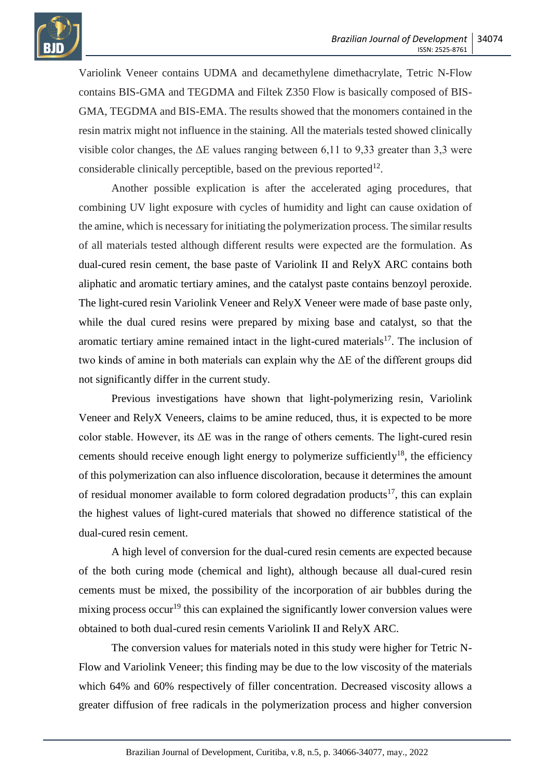![](_page_8_Picture_1.jpeg)

Variolink Veneer contains UDMA and decamethylene dimethacrylate, Tetric N-Flow contains BIS-GMA and TEGDMA and Filtek Z350 Flow is basically composed of BIS-GMA, TEGDMA and BIS-EMA. The results showed that the monomers contained in the resin matrix might not influence in the staining. All the materials tested showed clinically visible color changes, the  $\Delta E$  values ranging between 6,11 to 9,33 greater than 3,3 were considerable clinically perceptible, based on the previous reported $^{12}$ .

Another possible explication is after the accelerated aging procedures, that combining UV light exposure with cycles of humidity and light can cause oxidation of the amine, which is necessary for initiating the polymerization process. The similar results of all materials tested although different results were expected are the formulation. As dual-cured resin cement, the base paste of Variolink II and RelyX ARC contains both aliphatic and aromatic tertiary amines, and the catalyst paste contains benzoyl peroxide. The light-cured resin Variolink Veneer and RelyX Veneer were made of base paste only, while the dual cured resins were prepared by mixing base and catalyst, so that the aromatic tertiary amine remained intact in the light-cured materials<sup>17</sup>. The inclusion of two kinds of amine in both materials can explain why the ΔE of the different groups did not significantly differ in the current study.

Previous investigations have shown that light-polymerizing resin, Variolink Veneer and RelyX Veneers, claims to be amine reduced, thus, it is expected to be more color stable. However, its ΔE was in the range of others cements. The light-cured resin cements should receive enough light energy to polymerize sufficiently<sup>18</sup>, the efficiency of this polymerization can also influence discoloration, because it determines the amount of residual monomer available to form colored degradation products<sup>17</sup>, this can explain the highest values of light-cured materials that showed no difference statistical of the dual-cured resin cement.

A high level of conversion for the dual-cured resin cements are expected because of the both curing mode (chemical and light), although because all dual-cured resin cements must be mixed, the possibility of the incorporation of air bubbles during the mixing process occur<sup>19</sup> this can explained the significantly lower conversion values were obtained to both dual-cured resin cements Variolink II and RelyX ARC.

The conversion values for materials noted in this study were higher for Tetric N-Flow and Variolink Veneer; this finding may be due to the low viscosity of the materials which 64% and 60% respectively of filler concentration. Decreased viscosity allows a greater diffusion of free radicals in the polymerization process and higher conversion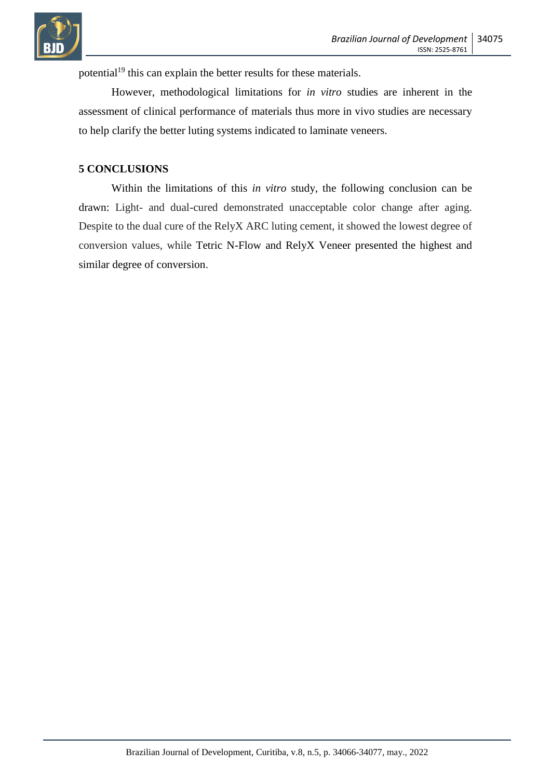![](_page_9_Picture_0.jpeg)

potential<sup>19</sup> this can explain the better results for these materials.

However, methodological limitations for *in vitro* studies are inherent in the assessment of clinical performance of materials thus more in vivo studies are necessary to help clarify the better luting systems indicated to laminate veneers.

### **5 CONCLUSIONS**

Within the limitations of this *in vitro* study, the following conclusion can be drawn: Light- and dual-cured demonstrated unacceptable color change after aging. Despite to the dual cure of the RelyX ARC luting cement, it showed the lowest degree of conversion values, while Tetric N-Flow and RelyX Veneer presented the highest and similar degree of conversion.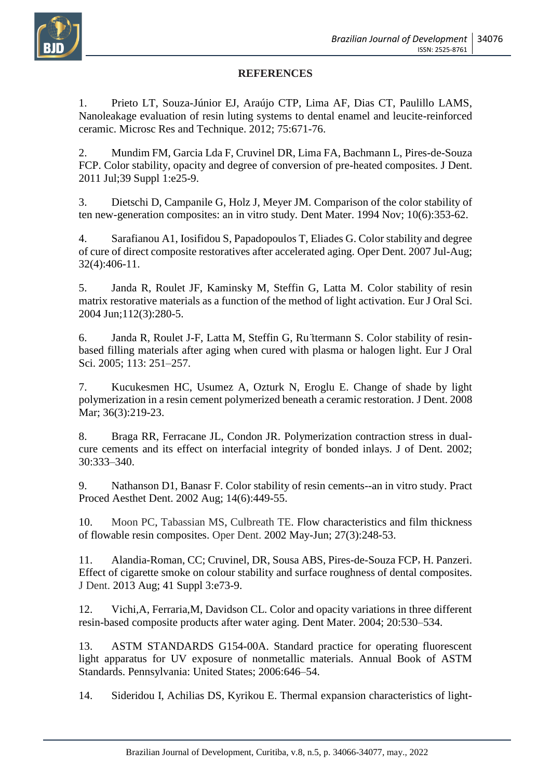# **REFERENCES**

1. Prieto LT, Souza-Júnior EJ, Araújo CTP, Lima AF, Dias CT, Paulillo LAMS, Nanoleakage evaluation of resin luting systems to dental enamel and leucite-reinforced ceramic. Microsc Res and Technique. 2012; 75:671-76.

2. Mundim FM, Garcia Lda F, Cruvinel DR, Lima FA, Bachmann L, Pires-de-Souza FCP. [Color stability, opacity and degree of conversion of pre-heated composites.](http://www.ncbi.nlm.nih.gov/pubmed/21163324) J Dent. 2011 Jul;39 Suppl 1:e25-9.

3. Dietschi D, Campanile G, Holz J, Meyer JM. [Comparison of the color stability of](http://www.ncbi.nlm.nih.gov/pubmed/7498599)  [ten new-generation composites: an in vitro study.](http://www.ncbi.nlm.nih.gov/pubmed/7498599) Dent Mater. 1994 Nov; 10(6):353-62.

4. [Sarafianou A1](http://www.ncbi.nlm.nih.gov/pubmed?term=Sarafianou%20A%255BAuthor%255D&cauthor=true&cauthor_uid=17695615), [Iosifidou S,](http://www.ncbi.nlm.nih.gov/pubmed?term=Iosifidou%20S%255BAuthor%255D&cauthor=true&cauthor_uid=17695615) [Papadopoulos T,](http://www.ncbi.nlm.nih.gov/pubmed?term=Papadopoulos%20T%255BAuthor%255D&cauthor=true&cauthor_uid=17695615) [Eliades G.](http://www.ncbi.nlm.nih.gov/pubmed?term=Eliades%20G%255BAuthor%255D&cauthor=true&cauthor_uid=17695615) Color stability and degree of cure of direct composite restoratives after accelerated aging. Oper Dent. 2007 Jul-Aug; 32(4):406-11.

5. Janda R, Roulet JF, Kaminsky M, Steffin G, Latta M. [Color stability of](http://www.ncbi.nlm.nih.gov/pubmed/15154928) resin [matrix restorative materials as a function of the method of light activation.](http://www.ncbi.nlm.nih.gov/pubmed/15154928) Eur J Oral Sci. 2004 Jun;112(3):280-5.

6. Janda R, Roulet J-F, Latta M, Steffin G, Ru ̈ttermann S. Color stability of resinbased filling materials after aging when cured with plasma or halogen light. Eur J Oral Sci. 2005; 113: 251–257.

7. Kucukesmen HC, Usumez A, Ozturk N, Eroglu E. [Change of shade by light](http://www.ncbi.nlm.nih.gov/pubmed/18241969)  [polymerization in a resin cement polymerized beneath a ceramic restoration.](http://www.ncbi.nlm.nih.gov/pubmed/18241969) J Dent. 2008 Mar; 36(3):219-23.

8. Braga RR, Ferracane JL, Condon JR. Polymerization contraction stress in dualcure cements and its effect on interfacial integrity of bonded inlays. J of Dent. 2002; 30:333–340.

9. [Nathanson D1](http://www.ncbi.nlm.nih.gov/pubmed?term=Nathanson%20D%255BAuthor%255D&cauthor=true&cauthor_uid=12242855), [Banasr F.](http://www.ncbi.nlm.nih.gov/pubmed?term=Banasr%20F%255BAuthor%255D&cauthor=true&cauthor_uid=12242855) Color stability of resin cements--an in vitro study. Pract Proced Aesthet Dent. 2002 Aug; 14(6):449-55.

10. [Moon PC,](http://www.ncbi.nlm.nih.gov/pubmed/?term=Moon%20PC%255BAuthor%255D&cauthor=true&cauthor_uid=12022455) [Tabassian MS,](http://www.ncbi.nlm.nih.gov/pubmed/?term=Tabassian%20MS%255BAuthor%255D&cauthor=true&cauthor_uid=12022455) [Culbreath TE.](http://www.ncbi.nlm.nih.gov/pubmed/?term=Culbreath%20TE%255BAuthor%255D&cauthor=true&cauthor_uid=12022455) Flow characteristics and film thickness of flowable resin composites. Oper Dent. 2002 May-Jun; 27(3):248-53.

11. Alandia-Roman, CC; Cruvinel, DR, Sousa ABS, Pires-de-Souza FCP, H. Panzeri. Effect of cigarette smoke on colour stability and surface roughness of dental composites. J Dent. 2013 Aug; 41 Suppl 3:e73-9.

12. Vichi,A, Ferraria,M, Davidson CL. Color and opacity variations in three different resin-based composite products after water aging. Dent Mater. 2004; 20:530–534.

13. ASTM STANDARDS G154-00A. Standard practice for operating fluorescent light apparatus for UV exposure of nonmetallic materials. Annual Book of ASTM Standards. Pennsylvania: United States; 2006:646–54.

14. Sideridou I, Achilias DS, Kyrikou E. [Thermal expansion characteristics of light-](http://www.ncbi.nlm.nih.gov/pubmed/14967543)